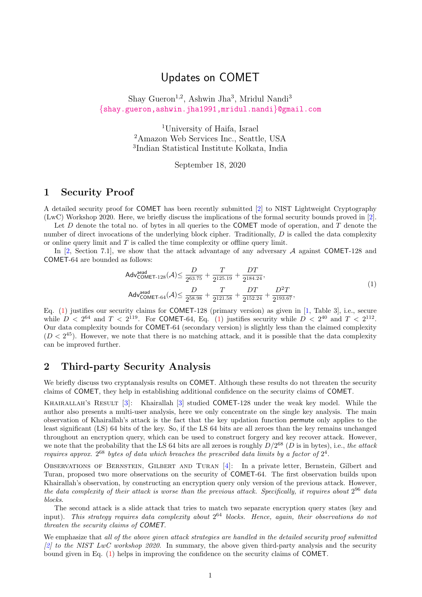# Updates on COMET

### Shay Gueron<sup>1,2</sup>, Ashwin Jha<sup>3</sup>, Mridul Nandi<sup>3</sup> {[shay.gueron,ashwin.jha1991,mridul.nandi](mailto:shay.gueron@gmail.com,ashwin.jha1991@gmail.com,mridul.nandi@gmail.com)}@gmail.com

<sup>1</sup>University of Haifa, Israel <sup>2</sup>Amazon Web Services Inc., Seattle, USA <sup>3</sup>Indian Statistical Institute Kolkata, India

September 18, 2020

## 1 Security Proof

A detailed security proof for COMET has been recently submitted [\[2\]](#page-2-0) to NIST Lightweight Cryptography (LwC) Workshop 2020. Here, we briefly discuss the implications of the formal security bounds proved in [\[2\]](#page-2-0).

Let  $D$  denote the total no. of bytes in all queries to the COMET mode of operation, and  $T$  denote the number of direct invocations of the underlying block cipher. Traditionally,  $D$  is called the data complexity or online query limit and  $T$  is called the time complexity or offline query limit.

In [\[2,](#page-2-0) Section 7.1], we show that the attack advantage of any adversary  $A$  against COMET-128 and COMET-64 are bounded as follows:

<span id="page-0-0"></span>
$$
Adv_{COMET-128}^{dead}(A) \le \frac{D}{2^{63.75}} + \frac{T}{2^{125.19}} + \frac{DT}{2^{184.24}},
$$
  
\n
$$
Adv_{COMET-64}^{aead}(A) \le \frac{D}{2^{58.98}} + \frac{T}{2^{121.58}} + \frac{DT}{2^{152.24}} + \frac{D^2T}{2^{193.67}},
$$
\n(1)

Eq. [\(1\)](#page-0-0) justifies our security claims for COMET-128 (primary version) as given in [\[1,](#page-2-1) Table 3], i.e., secure while  $D < 2^{64}$  and  $T < 2^{119}$ . For COMET-64, Eq. [\(1\)](#page-0-0) justifies security while  $D < 2^{40}$  and  $T < 2^{112}$ . Our data complexity bounds for COMET-64 (secondary version) is slightly less than the claimed complexity  $(D < 2<sup>45</sup>)$ . However, we note that there is no matching attack, and it is possible that the data complexity can be improved further.

## <span id="page-0-1"></span>2 Third-party Security Analysis

We briefly discuss two cryptanalysis results on COMET. Although these results do not threaten the security claims of COMET, they help in establishing additional confidence on the security claims of COMET.

KHAIRALLAH'S RESULT [\[3\]](#page-2-2): Khairallah [3] studied COMET-128 under the weak key model. While the author also presents a multi-user analysis, here we only concentrate on the single key analysis. The main observation of Khairallah's attack is the fact that the key updation function permute only applies to the least significant (LS) 64 bits of the key. So, if the LS 64 bits are all zeroes than the key remains unchanged throughout an encryption query, which can be used to construct forgery and key recover attack. However, we note that the probability that the LS 64 bits are all zeroes is roughly  $D/2^{68}$  (D is in bytes), i.e., the attack requires approx.  $2^{68}$  bytes of data which breaches the prescribed data limits by a factor of  $2^4$ .

Observations of Bernstein, Gilbert and Turan [\[4\]](#page-2-3): In a private letter, Bernstein, Gilbert and Turan, proposed two more observations on the security of COMET-64. The first observation builds upon Khairallah's observation, by constructing an encryption query only version of the previous attack. However, the data complexity of their attack is worse than the previous attack. Specifically, it requires about  $2^{96}$  data blocks.

The second attack is a slide attack that tries to match two separate encryption query states (key and input). This strategy requires data complexity about  $2^{64}$  blocks. Hence, again, their observations do not threaten the security claims of COMET.

We emphasize that all of the above given attack strategies are handled in the detailed security proof submitted  $[2]$  to the NIST LwC workshop 2020. In summary, the above given third-party analysis and the security bound given in Eq. [\(1\)](#page-0-0) helps in improving the confidence on the security claims of COMET.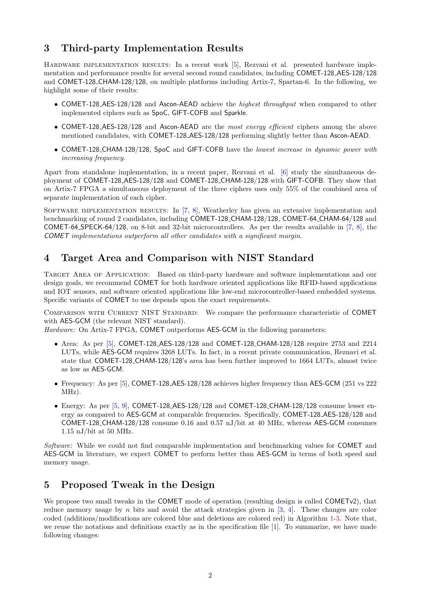## 3 Third-party Implementation Results

HARDWARE IMPLEMENTATION RESULTS: In a recent work [\[5\]](#page-2-4), Rezvani et al. presented hardware implementation and performance results for several second round candidates, including COMET-128 AES-128/128 and COMET-128 CHAM-128/128, on multiple platforms including Artix-7, Spartan-6. In the following, we highlight some of their results:

- COMET-128\_AES-128/128 and Ascon-AEAD achieve the *highest throughput* when compared to other implemented ciphers such as SpoC, GIFT-COFB and Sparkle.
- COMET-128 AES-128/128 and Ascon-AEAD are the *most energy efficient* ciphers among the above mentioned candidates, with COMET-128 AES-128/128 performing slightly better than Ascon-AEAD.
- COMET-128\_CHAM-128/128, SpoC and GIFT-COFB have the lowest increase in dynamic power with increasing frequency.

Apart from standalone implementation, in a recent paper, Rezvani et al. [\[6\]](#page-4-0) study the simultaneous deployment of COMET-128 AES-128/128 and COMET-128 CHAM-128/128 with GIFT-COFB. They show that on Artix-7 FPGA a simultaneous deployment of the three ciphers uses only 55% of the combined area of separate implementation of each cipher.

SOFTWARE IMPLEMENTATION RESULTS: In  $[7, 8]$  $[7, 8]$  $[7, 8]$ , Weatherley has given an extensive implementation and benchmarking of round 2 candidates, including COMET-128 CHAM-128/128, COMET-64 CHAM-64/128 and COMET-64 SPECK-64/128, on 8-bit and 32-bit microcontrollers. As per the results available in [\[7,](#page-4-1) [8\]](#page-4-2), the COMET implementations outperform all other candidates with a significant margin.

## 4 Target Area and Comparison with NIST Standard

TARGET AREA OF APPLICATION: Based on third-party hardware and software implementations and our design goals, we recommend COMET for both hardware oriented applications like RFID-based applications and IOT sensors, and software oriented applications like low-end microcontroller-based embedded systems. Specific variants of COMET to use depends upon the exact requirements.

COMPARISON WITH CURRENT NIST STANDARD: We compare the performance characteristic of COMET with AES-GCM (the relevant NIST standard).

Hardware: On Artix-7 FPGA, COMET outperforms AES-GCM in the following parameters:

- Area: As per  $[5]$ , COMET-128 AES-128/128 and COMET-128 CHAM-128/128 require 2753 and 2214 LUTs, while AES-GCM requires 3268 LUTs. In fact, in a recent private communication, Reznavi et al. state that COMET-128 CHAM-128/128's area has been further improved to 1664 LUTs, almost twice as low as AES-GCM.
- Frequency: As per [\[5\]](#page-2-4), COMET-128 AES-128/128 achieves higher frequency than AES-GCM (251 vs 222 MHz).
- Energy: As per [\[5,](#page-2-4) [9\]](#page-4-3), COMET-128\_AES-128/128 and COMET-128\_CHAM-128/128 consume lesser energy as compared to AES-GCM at comparable frequencies. Specifically, COMET-128 AES-128/128 and COMET-128 CHAM-128/128 consume 0.16 and 0.57 nJ/bit at 40 MHz, whereas AES-GCM consumes  $1.15$  nJ/bit at 50 MHz.

Software: While we could not find comparable implementation and benchmarking values for COMET and AES-GCM in literature, we expect COMET to perform better than AES-GCM in terms of both speed and memory usage.

## 5 Proposed Tweak in the Design

We propose two small tweaks in the COMET mode of operation (resulting design is called COMET<sub>v2</sub>), that reduce memory usage by n bits and avoid the attack strategies given in [\[3,](#page-2-2) [4\]](#page-2-3). These changes are color coded (additions/modifications are colored blue and deletions are colored red) in Algorithm [1-](#page-2-5)[3.](#page-4-4) Note that, we reuse the notations and definitions exactly as in the specification file [\[1\]](#page-2-1). To summarize, we have made following changes: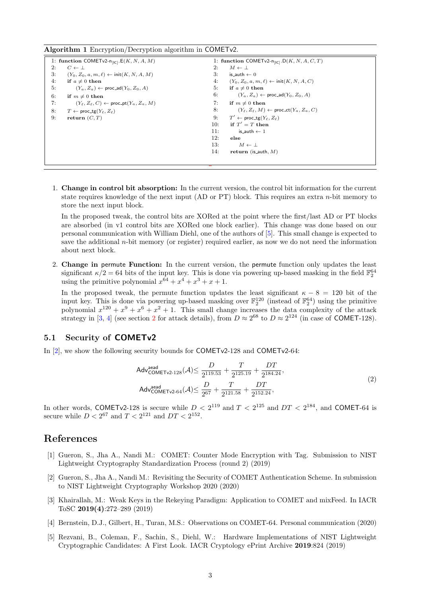<span id="page-2-5"></span>Algorithm 1 Encryption/Decryption algorithm in COMETv2.

|    | 1: function COMET <sub>v2</sub> -n <sub>[IC]</sub> . $E(K, N, A, M)$ |     | 1: function COMET <sub>v2</sub> -n <sub>[IC]</sub> .D( <i>K</i> , <i>N</i> , <i>A</i> , <i>C</i> , <i>T</i> ) |  |
|----|----------------------------------------------------------------------|-----|---------------------------------------------------------------------------------------------------------------|--|
| 2: | $C \leftarrow \perp$                                                 | 2:  | $M \leftarrow \perp$                                                                                          |  |
| 3: | $(Y_0, Z_0, a, m, \ell) \leftarrow \text{init}(K, N, A, M)$          | 3:  | is_auth $\leftarrow$ 0                                                                                        |  |
| 4: | if $a \neq 0$ then                                                   | 4:  | $(Y_0, Z_0, a, m, \ell) \leftarrow \text{init}(K, N, A, C)$                                                   |  |
| 5: | $(Y_a, Z_a) \leftarrow \text{proc\_ad}(Y_0, Z_0, A)$                 | 5.  | if $a \neq 0$ then                                                                                            |  |
| 6: | if $m \neq 0$ then                                                   | 6:  | $(Y_a, Z_a) \leftarrow \text{proc\_ad}(Y_0, Z_0, A)$                                                          |  |
| 7: | $(Y_\ell, Z_\ell, C) \leftarrow \text{proc\_pt}(Y_a, Z_a, M)$        | 7:  | if $m \neq 0$ then                                                                                            |  |
| 8: | $T \leftarrow \text{proc\_tg}(Y_{\ell}, Z_{\ell})$                   | 8:  | $(Y_\ell, Z_\ell, M) \leftarrow \text{proc\_ct}(Y_a, Z_a, C)$                                                 |  |
| 9: | return $(C, T)$                                                      | 9:  | $T' \leftarrow \text{proc\_tg}(Y_{\ell}, Z_{\ell})$                                                           |  |
|    |                                                                      | 10: | if $T' = T$ then                                                                                              |  |
|    |                                                                      | 11: | is_auth $\leftarrow$ 1                                                                                        |  |
|    |                                                                      | 12: | else                                                                                                          |  |
|    |                                                                      | 13: | $M \leftarrow \perp$                                                                                          |  |
|    |                                                                      | 14: | return (is_auth, $M$ )                                                                                        |  |
|    |                                                                      |     |                                                                                                               |  |
|    |                                                                      |     |                                                                                                               |  |

1. Change in control bit absorption: In the current version, the control bit information for the current state requires knowledge of the next input (AD or PT) block. This requires an extra  $n$ -bit memory to store the next input block.

In the proposed tweak, the control bits are XORed at the point where the first/last AD or PT blocks are absorbed (in v1 control bits are XORed one block earlier). This change was done based on our personal communication with William Diehl, one of the authors of [\[5\]](#page-2-4). This small change is expected to save the additional  $n$ -bit memory (or register) required earlier, as now we do not need the information about next block.

2. Change in permute Function: In the current version, the permute function only updates the least significant  $\kappa/2 = 64$  bits of the input key. This is done via powering up-based masking in the field  $\mathbb{F}_2^{64}$ using the primitive polynomial  $x^{64} + x^4 + x^3 + x + 1$ .

In the proposed tweak, the permute function updates the least significant  $\kappa - 8 = 120$  bit of the input key. This is done via powering up-based masking over  $\mathbb{F}_2^{120}$  (instead of  $\mathbb{F}_2^{64}$ ) using the primitive polynomial  $x^{120} + x^9 + x^6 + x^2 + 1$ . This small change increases the data complexity of the attack strategy in [\[3,](#page-2-2) [4\]](#page-2-3) (see section [2](#page-0-1) for attack details), from  $D \approx 2^{68}$  to  $D \approx 2^{124}$  (in case of COMET-128).

#### 5.1 Security of COMETv2

In [\[2\]](#page-2-0), we show the following security bounds for COMETv2-128 and COMETv2-64:

$$
\mathsf{Adv}_{\mathsf{COMETv2}\text{-}128}^{\text{aead}}(\mathcal{A}) \le \frac{D}{2^{119.53}} + \frac{T}{2^{125.19}} + \frac{DT}{2^{184.24}},
$$
\n
$$
\mathsf{Adv}_{\mathsf{COMETv2}\text{-}64}^{\text{aead}}(\mathcal{A}) \le \frac{D}{2^{67}} + \frac{T}{2^{121.58}} + \frac{DT}{2^{152.24}},
$$
\n
$$
(2)
$$

In other words, COMETv2-128 is secure while  $D < 2^{119}$  and  $T < 2^{125}$  and  $DT < 2^{184}$ , and COMET-64 is secure while  $D < 2^{67}$  and  $T < 2^{121}$  and  $DT < 2^{152}$ .

#### References

- <span id="page-2-1"></span>[1] Gueron, S., Jha A., Nandi M.: COMET: Counter Mode Encryption with Tag. Submission to NIST Lightweight Cryptography Standardization Process (round 2) (2019)
- <span id="page-2-0"></span>[2] Gueron, S., Jha A., Nandi M.: Revisiting the Security of COMET Authentication Scheme. In submission to NIST Lightweight Cryptography Workshop 2020 (2020)
- <span id="page-2-2"></span>[3] Khairallah, M.: Weak Keys in the Rekeying Paradigm: Application to COMET and mixFeed. In IACR ToSC 2019(4):272–289 (2019)
- <span id="page-2-3"></span>[4] Bernstein, D.J., Gilbert, H., Turan, M.S.: Observations on COMET-64. Personal communication (2020)
- <span id="page-2-4"></span>[5] Rezvani, B., Coleman, F., Sachin, S., Diehl, W.: Hardware Implementations of NIST Lightweight Cryptographic Candidates: A First Look. IACR Cryptology ePrint Archive 2019:824 (2019)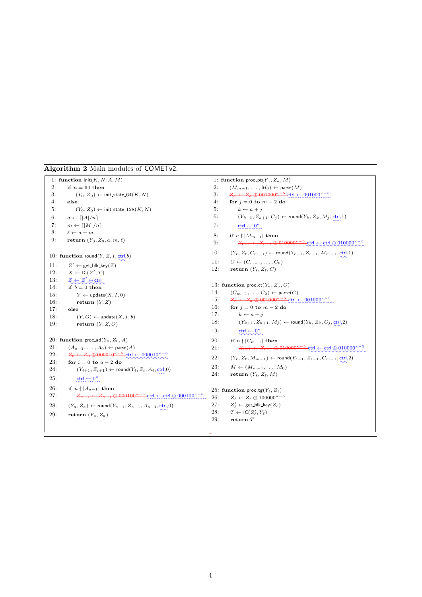Algorithm 2 Main modules of COMETv2.

```
1: function init(K, N, A, M)2: if n = 64 then
 3: (Y_0, Z_0) \leftarrow \text{init\_state\_64}(K, N)4: else
 5: (Y_0, Z_0) \leftarrow \text{init\_state\_128}(K, N)6: a \leftarrow \lceil |A|/n \rceil7: m \leftarrow \lceil |M|/n \rceil8: \ell \leftarrow a + m9: return (Y_0, Z_0, a, m, \ell)10: function round(Y, Z, I, ctrl,b)<br>11: Z' \leftarrow \text{get blk key}(Z)Z' \leftarrow get_blk_key(Z)12: X \leftarrow \mathsf{IC}(Z', Y)13: Z \leftarrow Z' \oplus \text{ctrl}<br>14: if b = 0 then
           if b = 0 then
15: Y \leftarrow \text{update}(X, I, 0)16: return (Y, Z)17. else
18: (Y, O) \leftarrow \text{update}(X, I, b)19: return (Y, Z, O)20: function proc_ad(Y_0, Z_0, A)
21: (A_{a-1}, \ldots, A_0) \leftarrow \text{parse}(A)22: Z_0 \leftarrow Z_0 \oplus 000010^{\kappa-5} ctrl \leftarrow 000010^{\kappa-5}23: for i = 0 to a - 2 do
24: (Y_{i+1}, Z_{i+1}) \leftarrow \text{round}(Y_i, Z_i, A_i, \text{ctrl}, 0)<br>
25: \text{ctrl} \leftarrow 0^{\kappa}25: \text{ctrl} \leftarrow 0^{\kappa}26: if n \nmid |A_{a-1}| then
27: Z_{a-1} \leftarrow Z_{a-1} \oplus 000100^{\kappa-5} ctrl \leftarrow ctrl \oplus 000100<sup>\kappa-5</sup>
28: (Y_a, Z_a) \leftarrow \text{round}(Y_{a-1}, Z_{a-1}, A_{a-1}, \text{ctrl}, 0)<br>29: return (Y_a, Z_a)return (Y_a, Z_a)1: function proc_pt(Y_a, Z_a, M)
                                                                                                       2: (M_{m-1}, \ldots, M_0) \leftarrow \text{parse}(M)3: Z_a \leftarrow Z_a \oplus 001000^{\kappa-5} ctrl \leftarrow 001000^{\kappa-5}4: for j = 0 to m - 2 do
                                                                                                       5: k \leftarrow a + i6: (Y_{k+1}, Z_{k+1}, C_j) \leftarrow \text{round}(Y_k, Z_k, M_j, \text{ctrl}, 1)<br>7. \text{ctrl} \leftarrow 0^k7: ctrl \leftarrow 0^{\kappa}8: if n \nmid |M_{m-1}| then
                                                                                                       9: Z_{\ell-1} \leftarrow Z_{\ell-1} \oplus 010000^{\kappa-5} ctrl ← ctrl ⊕ 010000 \kappa-510: (Y_{\ell}, Z_{\ell}, C_{m-1}) \leftarrow \text{round}(Y_{\ell-1}, Z_{\ell-1}, M_{m-1}, \text{ctrl}, 1)<br>11: C \leftarrow (C_{m-1}, C_0)C \leftarrow (C_{m-1}, \ldots, C_0)12: return (Y_{\ell}, Z_{\ell}, C)13: function proc_ct(Y_a, Z_a, C)
                                                                                                     14: (C_{m-1}, \ldots, C_0) \leftarrow \text{parse}(C)15: Z_a \leftarrow Z_a \oplus 001000^{\kappa-5} ctrl \leftarrow 001000^{\kappa-5}16: for j = 0 to m - 2 do
                                                                                                      17: k \leftarrow a + j18: (Y_{k+1}, Z_{k+1}, M_j) \leftarrow \text{round}(Y_k, Z_k, C_j, \text{ctrl}, 2)<br>19: \text{ctrl} \leftarrow 0^{\kappa}19: \cot \leftarrow 0^{\kappa}20: if n \nmid |C_{m-1}| then
                                                                                                      21: Z_{\ell-1} \leftarrow Z_{\ell-1} \oplus 010000^{\kappa-5} ctrl \leftarrow ctrl \oplus 010000<sup>\kappa-5</sup>
                                                                                                     22: (Y_{\ell}, Z_{\ell}, M_{m-1}) \leftarrow \text{round}(Y_{\ell-1}, Z_{\ell-1}, C_{m-1}, \text{ctrl}, 2)<br>
23: M \leftarrow (M_{m-1}, M_0)M \leftarrow (M_{m-1}, \ldots, M_0)24: return (Y_{\ell}, Z_{\ell}, M)25: function proc<sub>tg</sub>(Y_\ell, Z_\ell)26: Z_{\ell} \leftarrow Z_{\ell} \oplus 100000^{\kappa-5}27: Z'_\ell \leftarrow \text{get\_blk\_key}(Z_\ell)<br>
28: T \leftarrow \text{IC}(Z'_\ell, Y_\ell)28: T \leftarrow \mathsf{IC}(Z'_\ell, Y_\ell)29: return T
```